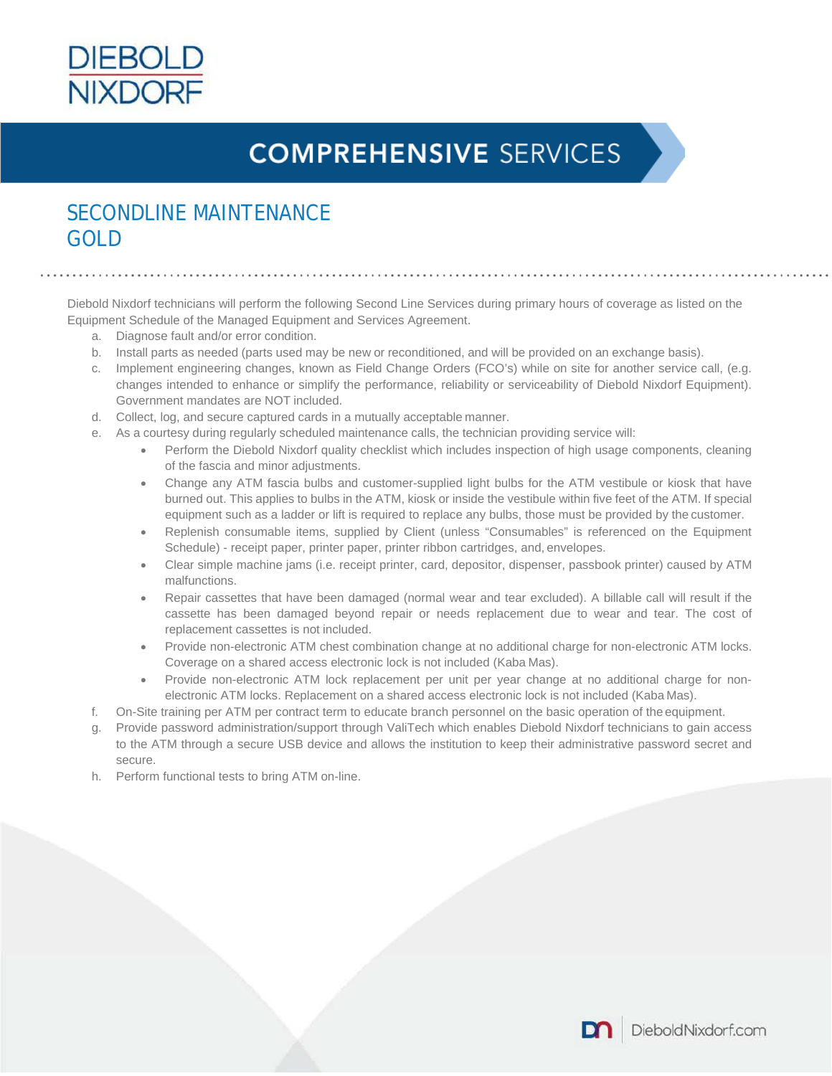

# **COMPREHENSIVE SERVICES**

### SECONDLINE MAINTENANCE GOLD

Diebold Nixdorf technicians will perform the following Second Line Services during primary hours of coverage as listed on the Equipment Schedule of the Managed Equipment and Services Agreement.

- a. Diagnose fault and/or error condition.
- b. Install parts as needed (parts used may be new or reconditioned, and will be provided on an exchange basis).
- c. Implement engineering changes, known as Field Change Orders (FCO's) while on site for another service call, (e.g. changes intended to enhance or simplify the performance, reliability or serviceability of Diebold Nixdorf Equipment). Government mandates are NOT included.
- d. Collect, log, and secure captured cards in a mutually acceptable manner.
- e. As a courtesy during regularly scheduled maintenance calls, the technician providing service will:
	- Perform the Diebold Nixdorf quality checklist which includes inspection of high usage components, cleaning of the fascia and minor adjustments.
	- Change any ATM fascia bulbs and customer-supplied light bulbs for the ATM vestibule or kiosk that have burned out. This applies to bulbs in the ATM, kiosk or inside the vestibule within five feet of the ATM. If special equipment such as a ladder or lift is required to replace any bulbs, those must be provided by the customer.
	- Replenish consumable items, supplied by Client (unless "Consumables" is referenced on the Equipment Schedule) - receipt paper, printer paper, printer ribbon cartridges, and, envelopes.
	- Clear simple machine jams (i.e. receipt printer, card, depositor, dispenser, passbook printer) caused by ATM malfunctions.
	- Repair cassettes that have been damaged (normal wear and tear excluded). A billable call will result if the cassette has been damaged beyond repair or needs replacement due to wear and tear. The cost of replacement cassettes is not included.
	- Provide non-electronic ATM chest combination change at no additional charge for non-electronic ATM locks. Coverage on a shared access electronic lock is not included (Kaba Mas).
	- Provide non-electronic ATM lock replacement per unit per year change at no additional charge for nonelectronic ATM locks. Replacement on a shared access electronic lock is not included (Kaba Mas).
- f. On-Site training per ATM per contract term to educate branch personnel on the basic operation of the equipment.
- g. Provide password administration/support through ValiTech which enables Diebold Nixdorf technicians to gain access to the ATM through a secure USB device and allows the institution to keep their administrative password secret and secure.
- h. Perform functional tests to bring ATM on-line.

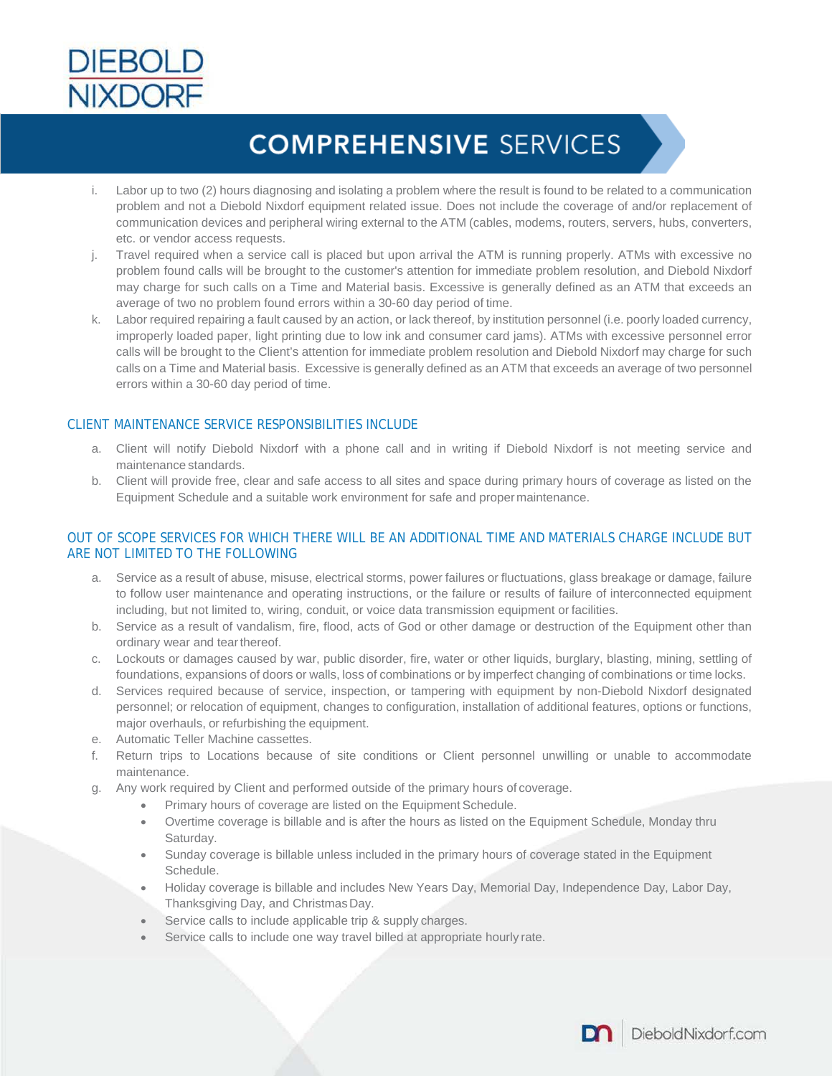

### **COMPREHENSIVE SERVICES**

- i. Labor up to two (2) hours diagnosing and isolating a problem where the result is found to be related to a communication problem and not a Diebold Nixdorf equipment related issue. Does not include the coverage of and/or replacement of communication devices and peripheral wiring external to the ATM (cables, modems, routers, servers, hubs, converters, etc. or vendor access requests.
- j. Travel required when a service call is placed but upon arrival the ATM is running properly. ATMs with excessive no problem found calls will be brought to the customer's attention for immediate problem resolution, and Diebold Nixdorf may charge for such calls on a Time and Material basis. Excessive is generally defined as an ATM that exceeds an average of two no problem found errors within a 30-60 day period of time.
- k. Labor required repairing a fault caused by an action, or lack thereof, by institution personnel (i.e. poorly loaded currency, improperly loaded paper, light printing due to low ink and consumer card jams). ATMs with excessive personnel error calls will be brought to the Client's attention for immediate problem resolution and Diebold Nixdorf may charge for such calls on a Time and Material basis. Excessive is generally defined as an ATM that exceeds an average of two personnel errors within a 30-60 day period of time.

#### CLIENT MAINTENANCE SERVICE RESPONSIBILITIES INCLUDE

- a. Client will notify Diebold Nixdorf with a phone call and in writing if Diebold Nixdorf is not meeting service and maintenance standards.
- b. Client will provide free, clear and safe access to all sites and space during primary hours of coverage as listed on the Equipment Schedule and a suitable work environment for safe and propermaintenance.

#### OUT OF SCOPE SERVICES FOR WHICH THERE WILL BE AN ADDITIONAL TIME AND MATERIALS CHARGE INCLUDE BUT ARE NOT LIMITED TO THE FOLLOWING

- a. Service as a result of abuse, misuse, electrical storms, power failures or fluctuations, glass breakage or damage, failure to follow user maintenance and operating instructions, or the failure or results of failure of interconnected equipment including, but not limited to, wiring, conduit, or voice data transmission equipment or facilities.
- b. Service as a result of vandalism, fire, flood, acts of God or other damage or destruction of the Equipment other than ordinary wear and tearthereof.
- c. Lockouts or damages caused by war, public disorder, fire, water or other liquids, burglary, blasting, mining, settling of foundations, expansions of doors or walls, loss of combinations or by imperfect changing of combinations or time locks.
- d. Services required because of service, inspection, or tampering with equipment by non-Diebold Nixdorf designated personnel; or relocation of equipment, changes to configuration, installation of additional features, options or functions, major overhauls, or refurbishing the equipment.
- e. Automatic Teller Machine cassettes.
- f. Return trips to Locations because of site conditions or Client personnel unwilling or unable to accommodate maintenance.
- g. Any work required by Client and performed outside of the primary hours of coverage.
	- Primary hours of coverage are listed on the Equipment Schedule.
	- Overtime coverage is billable and is after the hours as listed on the Equipment Schedule, Monday thru Saturday.
	- Sunday coverage is billable unless included in the primary hours of coverage stated in the Equipment Schedule.
	- Holiday coverage is billable and includes New Years Day, Memorial Day, Independence Day, Labor Day, Thanksgiving Day, and Christmas Day.
	- Service calls to include applicable trip & supply charges.
	- Service calls to include one way travel billed at appropriate hourly rate.